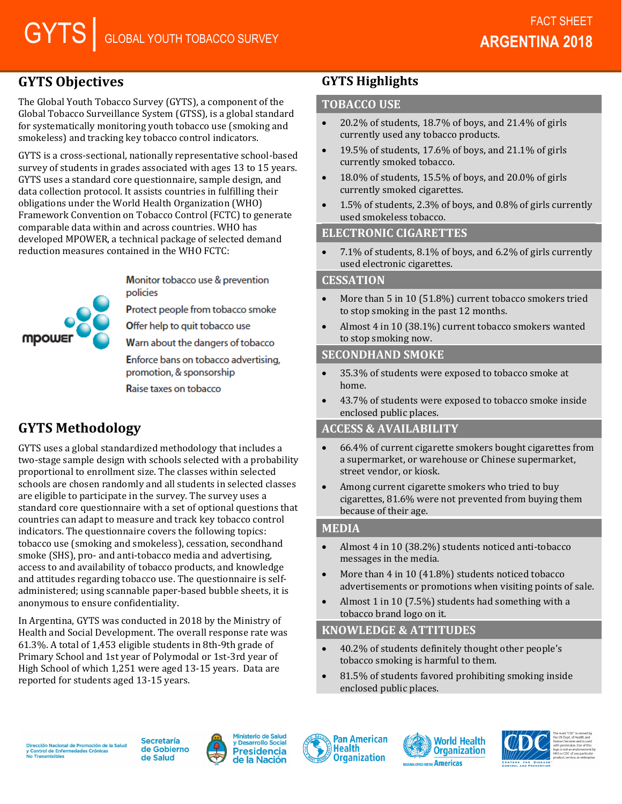# **GYTS Objectives**

The Global Youth Tobacco Survey (GYTS), a component of the Global Tobacco Surveillance System (GTSS), is a global standard for systematically monitoring youth tobacco use (smoking and smokeless) and tracking key tobacco control indicators.

GYTS is a cross-sectional, nationally representative school-based survey of students in grades associated with ages 13 to 15 years. GYTS uses a standard core questionnaire, sample design, and data collection protocol. It assists countries in fulfilling their obligations under the World Health Organization (WHO) Framework Convention on Tobacco Control (FCTC) to generate comparable data within and across countries. WHO has developed MPOWER, a technical package of selected demand reduction measures contained in the WHO FCTC:

> Monitor tobacco use & prevention policies

Protect people from tobacco smoke

Offer help to quit tobacco use

Warn about the dangers of tobacco

Enforce bans on tobacco advertising. promotion, & sponsorship

Raise taxes on tobacco

# **GYTS Methodology**

**mpows** 

GYTS uses a global standardized methodology that includes a two-stage sample design with schools selected with a probability proportional to enrollment size. The classes within selected schools are chosen randomly and all students in selected classes are eligible to participate in the survey. The survey uses a standard core questionnaire with a set of optional questions that countries can adapt to measure and track key tobacco control indicators. The questionnaire covers the following topics: tobacco use (smoking and smokeless), cessation, secondhand smoke (SHS), pro- and anti-tobacco media and advertising, access to and availability of tobacco products, and knowledge and attitudes regarding tobacco use. The questionnaire is selfadministered; using scannable paper-based bubble sheets, it is anonymous to ensure confidentiality.

In Argentina, GYTS was conducted in 2018 by the Ministry of Health and Social Development. The overall response rate was 61.3%. A total of 1,453 eligible students in 8th-9th grade of Primary School and 1st year of Polymodal or 1st-3rd year of High School of which 1,251 were aged 13-15 years. Data are reported for students aged 13-15 years.

# **GYTS Highlights**

### **TOBACCO USE**

- 20.2% of students, 18.7% of boys, and 21.4% of girls currently used any tobacco products.
- 19.5% of students, 17.6% of boys, and 21.1% of girls currently smoked tobacco.
- 18.0% of students, 15.5% of boys, and 20.0% of girls currently smoked cigarettes.
- 1.5% of students, 2.3% of boys, and 0.8% of girls currently used smokeless tobacco.

#### **ELECTRONIC CIGARETTES**

• 7.1% of students, 8.1% of boys, and 6.2% of girls currently used electronic cigarettes.

#### **CESSATION**

- More than 5 in 10 (51.8%) current tobacco smokers tried to stop smoking in the past 12 months.
- Almost 4 in 10 (38.1%) current tobacco smokers wanted to stop smoking now.

#### **SECONDHAND SMOKE**

- 35.3% of students were exposed to tobacco smoke at home.
- 43.7% of students were exposed to tobacco smoke inside enclosed public places.

## **ACCESS & AVAILABILITY**

- 66.4% of current cigarette smokers bought cigarettes from a supermarket, or warehouse or Chinese supermarket, street vendor, or kiosk.
- Among current cigarette smokers who tried to buy cigarettes, 81.6% were not prevented from buying them because of their age.

## **MEDIA**

- Almost 4 in 10 (38.2%) students noticed anti-tobacco messages in the media.
- More than 4 in 10 (41.8%) students noticed tobacco advertisements or promotions when visiting points of sale.
- Almost 1 in 10 (7.5%) students had something with a tobacco brand logo on it.

## **KNOWLEDGE & ATTITUDES**

- 40.2% of students definitely thought other people's tobacco smoking is harmful to them.
- 81.5% of students favored prohibiting smoking inside enclosed public places.